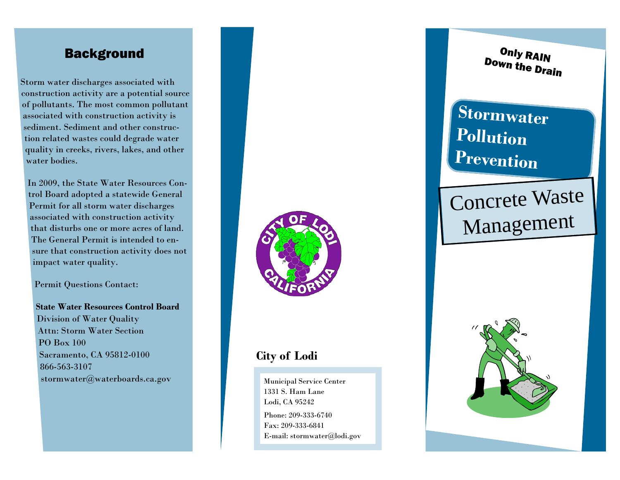Storm water discharges associated with construction activity are a potential source of pollutants. The most common pollutant associated with construction activity is sediment. Sediment and other construction related wastes could degrade water quality in creeks, rivers, lakes, and other water bodies.

In 2009, the State Water Resources Control Board adopted a statewide General Permit for all storm water discharges associated with construction activity that disturbs one or more acres of land. The General Permit is intended to ensure that construction activity does not impact water quality.

Permit Questions Contact:

**State Water Resources Control Board** Division of Water Quality Attn: Storm Water Section PO Box 100 Sacramento, CA 95812-0100 866-563-3107 stormwater@waterboards.ca.gov



### **City of Lodi**

Municipal Service Center 1331 S. Ham Lane Lodi, CA 95242

Phone: 209-333-6740 Fax: 209-333-6841 E-mail: stormwater@lodi.gov

**Background D** Only RAIN Only RAIN

# **Stormwater Pollution Prevention**

# Concrete Waste Management